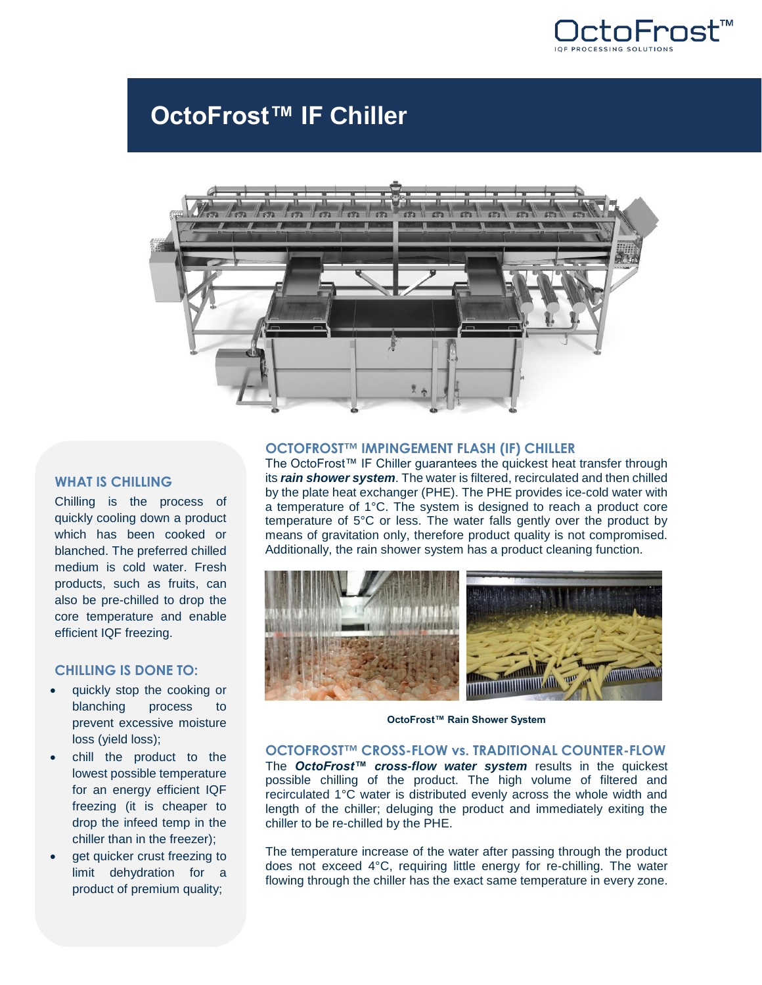

# **OctoFrost™ IF Chiller**



#### **WHAT IS CHILLING**

Chilling is the process of quickly cooling down a product which has been cooked or blanched. The preferred chilled medium is cold water. Fresh products, such as fruits, can also be pre-chilled to drop the core temperature and enable efficient IQF freezing.

## **CHILLING IS DONE TO:**

- quickly stop the cooking or blanching process to prevent excessive moisture loss (yield loss);
- chill the product to the lowest possible temperature for an energy efficient IQF freezing (it is cheaper to drop the infeed temp in the chiller than in the freezer);
- get quicker crust freezing to limit dehydration for a product of premium quality;

#### **OCTOFROST™ IMPINGEMENT FLASH (IF) CHILLER**

The OctoFrost™ IF Chiller guarantees the quickest heat transfer through its *rain shower system*. The water is filtered, recirculated and then chilled by the plate heat exchanger (PHE). The PHE provides ice-cold water with a temperature of 1°C. The system is designed to reach a product core temperature of 5°C or less. The water falls gently over the product by means of gravitation only, therefore product quality is not compromised. Additionally, the rain shower system has a product cleaning function.



**OctoFrost™ Rain Shower System**

## **OCTOFROST™ CROSS-FLOW vs. TRADITIONAL COUNTER-FLOW**

The *OctoFrost™ cross-flow water system* results in the quickest possible chilling of the product. The high volume of filtered and recirculated 1°C water is distributed evenly across the whole width and length of the chiller; deluging the product and immediately exiting the chiller to be re-chilled by the PHE.

The temperature increase of the water after passing through the product does not exceed 4°C, requiring little energy for re-chilling. The water flowing through the chiller has the exact same temperature in every zone.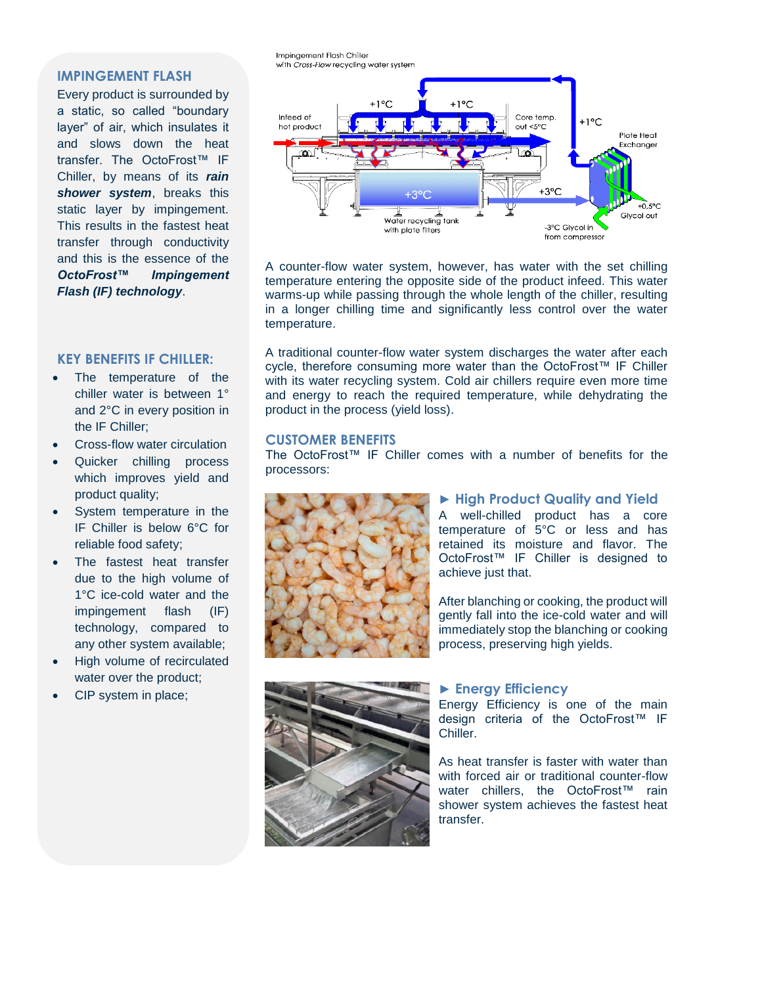#### **IMPINGEMENT FLASH**

Every product is surrounded by a static, so called "boundary layer" of air, which insulates it and slows down the heat transfer. The OctoFrost™ IF Chiller, by means of its *rain shower system*, breaks this static layer by impingement. This results in the fastest heat transfer through conductivity and this is the essence of the *OctoFrost™ Impingement Flash (IF) technology*.

#### **KEY BENEFITS IF CHILLER:**

- The temperature of the chiller water is between 1° and 2°C in every position in the IF Chiller;
- Cross-flow water circulation
- Quicker chilling process which improves yield and product quality;
- System temperature in the IF Chiller is below 6°C for reliable food safety;
- The fastest heat transfer due to the high volume of 1°C ice-cold water and the impingement flash (IF) technology, compared to any other system available;
- High volume of recirculated water over the product;
- CIP system in place;



A counter-flow water system, however, has water with the set chilling temperature entering the opposite side of the product infeed. This water warms-up while passing through the whole length of the chiller, resulting in a longer chilling time and significantly less control over the water temperature.

A traditional counter-flow water system discharges the water after each cycle, therefore consuming more water than the OctoFrost™ IF Chiller with its water recycling system. Cold air chillers require even more time and energy to reach the required temperature, while dehydrating the product in the process (yield loss).

#### **CUSTOMER BENEFITS**

Impingement Flash Chiller

The OctoFrost™ IF Chiller comes with a number of benefits for the processors:



# ► **High Product Quality and Yield**

A well-chilled product has a core temperature of 5°C or less and has retained its moisture and flavor. The OctoFrost™ IF Chiller is designed to achieve just that.

After blanching or cooking, the product will gently fall into the ice-cold water and will immediately stop the blanching or cooking process, preserving high yields.



#### ► **Energy Efficiency**

Energy Efficiency is one of the main design criteria of the OctoFrost™ IF Chiller.

As heat transfer is faster with water than with forced air or traditional counter-flow water chillers, the OctoFrost™ rain shower system achieves the fastest heat transfer.